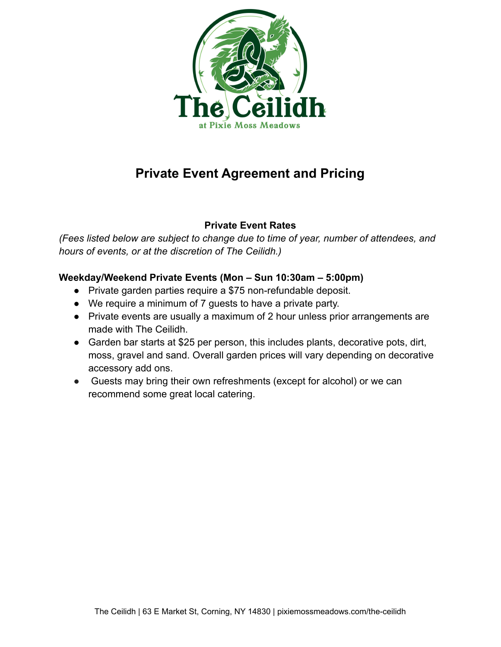

## **Private Event Agreement and Pricing**

## **Private Event Rates**

*(Fees listed below are subject to change due to time of year, number of attendees, and hours of events, or at the discretion of The Ceilidh.)*

## **Weekday/Weekend Private Events (Mon – Sun 10:30am – 5:00pm)**

- Private garden parties require a \$75 non-refundable deposit.
- We require a minimum of 7 guests to have a private party.
- Private events are usually a maximum of 2 hour unless prior arrangements are made with The Ceilidh.
- Garden bar starts at \$25 per person, this includes plants, decorative pots, dirt, moss, gravel and sand. Overall garden prices will vary depending on decorative accessory add ons.
- Guests may bring their own refreshments (except for alcohol) or we can recommend some great local catering.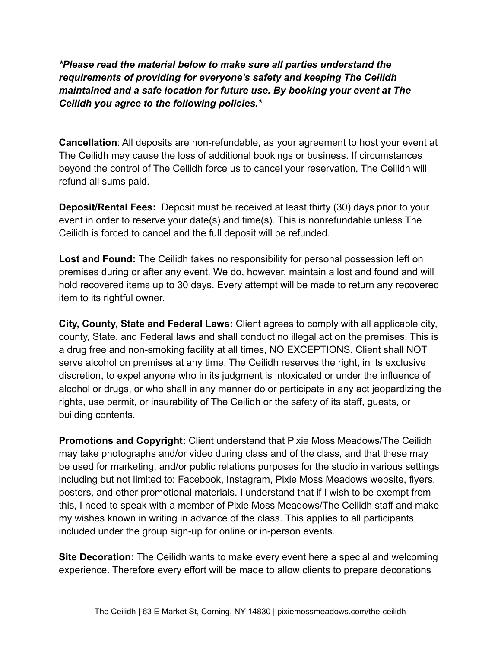*\*Please read the material below to make sure all parties understand the requirements of providing for everyone's safety and keeping The Ceilidh maintained and a safe location for future use. By booking your event at The Ceilidh you agree to the following policies.\**

**Cancellation**: All deposits are non-refundable, as your agreement to host your event at The Ceilidh may cause the loss of additional bookings or business. If circumstances beyond the control of The Ceilidh force us to cancel your reservation, The Ceilidh will refund all sums paid.

**Deposit/Rental Fees:** Deposit must be received at least thirty (30) days prior to your event in order to reserve your date(s) and time(s). This is nonrefundable unless The Ceilidh is forced to cancel and the full deposit will be refunded.

**Lost and Found:** The Ceilidh takes no responsibility for personal possession left on premises during or after any event. We do, however, maintain a lost and found and will hold recovered items up to 30 days. Every attempt will be made to return any recovered item to its rightful owner.

**City, County, State and Federal Laws:** Client agrees to comply with all applicable city, county, State, and Federal laws and shall conduct no illegal act on the premises. This is a drug free and non-smoking facility at all times, NO EXCEPTIONS. Client shall NOT serve alcohol on premises at any time. The Ceilidh reserves the right, in its exclusive discretion, to expel anyone who in its judgment is intoxicated or under the influence of alcohol or drugs, or who shall in any manner do or participate in any act jeopardizing the rights, use permit, or insurability of The Ceilidh or the safety of its staff, guests, or building contents.

**Promotions and Copyright:** Client understand that Pixie Moss Meadows/The Ceilidh may take photographs and/or video during class and of the class, and that these may be used for marketing, and/or public relations purposes for the studio in various settings including but not limited to: Facebook, Instagram, Pixie Moss Meadows website, flyers, posters, and other promotional materials. I understand that if I wish to be exempt from this, I need to speak with a member of Pixie Moss Meadows/The Ceilidh staff and make my wishes known in writing in advance of the class. This applies to all participants included under the group sign-up for online or in-person events.

**Site Decoration:** The Ceilidh wants to make every event here a special and welcoming experience. Therefore every effort will be made to allow clients to prepare decorations